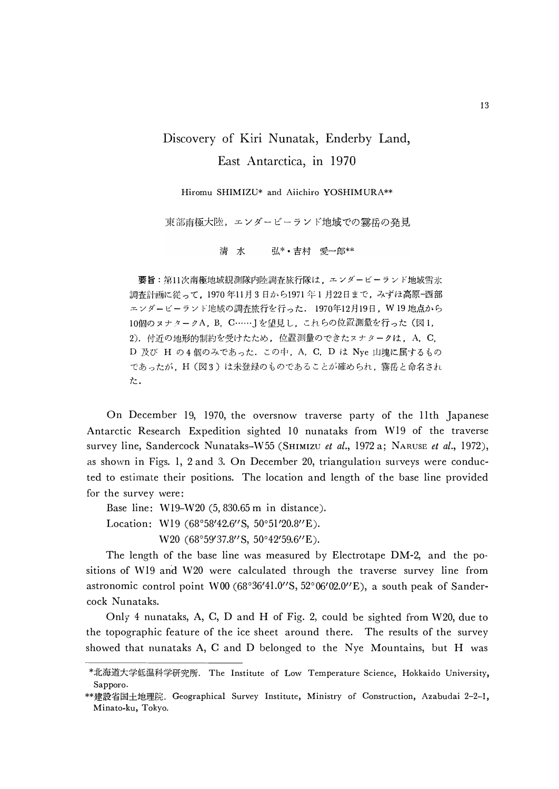## Discovery of Kiri Nunatak, Enderby Land, East Antarctica, in 1970

Hiromu SHIMIZU\* and Aiichiro YOSHIMURA\*\*

東部南極大陸、エンダービーランド地域での霧岳の発見

弘\*•吉村 愛一郎\*\* 清 水

要旨:第11次南極地域観測隊内陸調査旅行隊は、エンダービーランド地域雪氷 調査計画に従って、1970年11月3日から1971年1月22日まで、みずほ高原-西部 エンダービーランド地域の調査旅行を行った. 1970年12月19日, W19 地点から 10個のヌナタークA, B, C …… ] を望見し、これらの位置測量を行った (図1, 2). 付近の地形的制約を受けたため, 位置測量のできたヌナタークは, A, C, D 及び H の4個のみであった. この中, A, C, D は Nye 山塊に属するもの であったが, H (図3)は未登録のものであることが確められ、霧岳と命名され た.

On December 19, 1970, the oversnow traverse party of the 11th Japanese Antarctic Research Expedition sighted 10 nunataks from W19 of the traverse survey line, Sandercock Nunataks-W55 (SHIMIZU et al., 1972 a; NARUSE et al., 1972), as shown in Figs. 1, 2 and 3. On December 20, triangulation surveys were conducted to estimate their positions. The location and length of the base line provided for the survey were:

Base line: W19-W20 (5, 830.65 m in distance). Location: W19 (68°58'42.6"S, 50°51'20.8"E). W20 (68°59'37.8" S, 50°42'59.6" E).

The length of the base line was measured by Electrotape DM-2, and the positions of W19 and W20 were calculated through the traverse survey line from astronomic control point W00 (68°36'41.0"S, 52°06'02.0"E), a south peak of Sandercock Nunataks.

Only 4 nunataks, A, C, D and H of Fig. 2, could be sighted from W20, due to the topographic feature of the ice sheet around there. The results of the survey showed that nunataks A, C and D belonged to the Nye Mountains, but H was

<sup>\*</sup>北海道大学低温科学研究所. The Institute of Low Temperature Science, Hokkaido University, Sapporo.

<sup>\*\*</sup>建設省国土地理院. Geographical Survey Institute, Ministry of Construction, Azabudai 2-2-1, Minato-ku, Tokyo.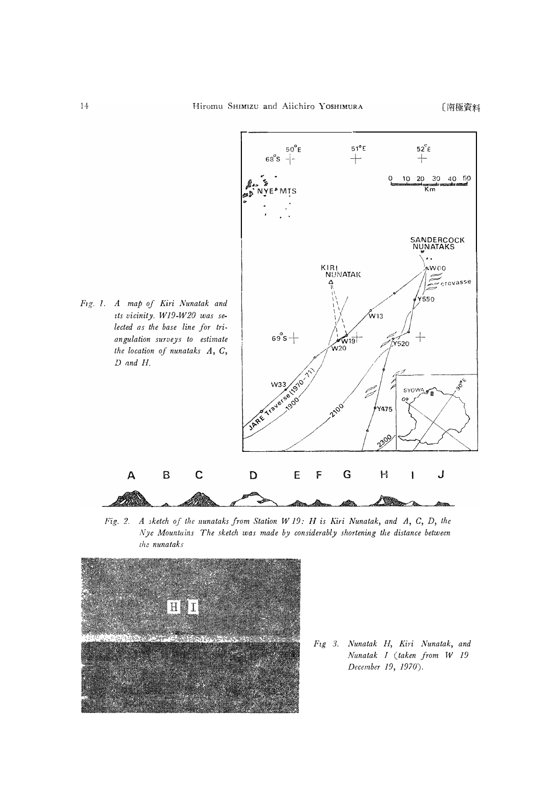

*Fig. 2. A sketch of the nunataks from Station W 19: H is Kiri Nunatak, and A, C, D, the Nye Mountains The sketch was made by considerably shortening the distance between tlw nunataks* 



*Fig 3. Nunatak H, Kiri Nunatak, and Nunatak J (taken from TV 19 December 19, 1970).*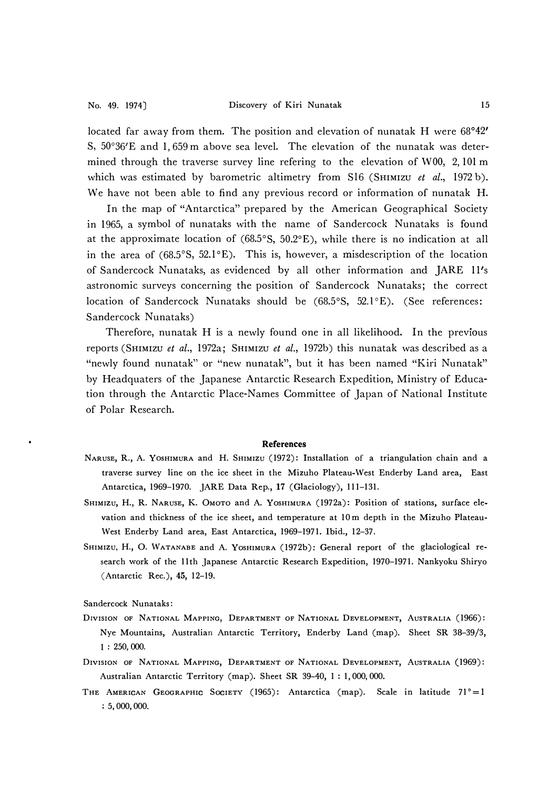located far away from them. The position and elevation of nunatak H were 68°42' S, 50° 36'E and 1,659 m above sea level. The elevation of the nunatak was determined through the traverse survey line refering to the elevation of WOO, 2, 101 m which was estimated by barometric altimetry from S16 (SHIMIZU *et al.*, 1972 b). We have not been able to find any previous record or information of nunatak H.

In the map of "Antarctica" prepared by the American Geographical Society in 1965, a symbol of nunataks with the name of Sandercock Nunataks is found at the approximate location of  $(68.5^{\circ}S, 50.2^{\circ}E)$ , while there is no indication at all in the area of  $(68.5^{\circ}S, 52.1^{\circ}E)$ . This is, however, a misdescription of the location of Sandercock Nunataks, as evidenced by all other information and JARE 11's astronomic surveys concerning the position of Sandercock Nunataks; the correct location of Sandercock Nunataks should be  $(68.5^{\circ}S, 52.1^{\circ}E)$ . (See references: Sandercock Nunataks)

Therefore, nunatak H is a newly found one in all likelihood. In the previous reports ( SHIMIZU *et al.,* 1972a; SHIMIZU *et al.,* 1972b) this nunatak was described as a "newly found nunatak" or "new nunatak", but it has been named "Kiri Nunatak" by Headquaters of the Japanese Antarctic Research Expedition, Ministry of Education through the Antarctic Place-Names Committee of Japan of National Institute of Polar Research.

## **References**

- NARUSE, R., A. YOSHIMURA and H. SHIMIZU (1972): Installation of a triangulation chain and a traverse survey line on the ice sheet in the Mizuho Plateau-West Enderby Land area, East Antarctica, 1969-1970. JARE Data Rep., 17 (Glaciology), 111-131.
- SHIMIZU, H., R. NARUSE, K. OMOTO and A. YOSHIMURA (1972a): Position of stations, surface elevation and thickness of the ice sheet, and temperature at 10 m depth in the Mizuho Plateau-West Enderby Land area, East Antarctica, 1969-1971. Ibid., 12-37.
- SHIMIZU, H., 0. WATANABE and A. YOSHIMURA (1972b): General report of the glaciological research work of the 11th Japanese Antarctic Research Expedition, 1970-1971. Nankyoku Shiryo (Antarctic Rec.), 45, 12-19.

Sandercock Nunataks:

- DIVISION OF NATIONAL MAPPING, DEPARTMENT OF **NATIONAL** DEVELOPMENT, AUSTRALIA (1966): Nye Mountains, Australian Antarctic Territory, Enderby Land (map). Sheet SR 38-39/3, 1 : 250,000.
- DIVISION OF NATIONAL MAPPING, DEPARTMENT OF NATIONAL DEVELOPMENT, AUSTRALIA (1969): Australian Antarctic Territory (map). Sheet SR 39-40, 1 : 1,000,000.
- THE AMERICAN GEOGRAPHIC SOCIETY (1965): Antarctica (map). Scale in latitude  $71^\circ=1$ : 5, 000, 000.